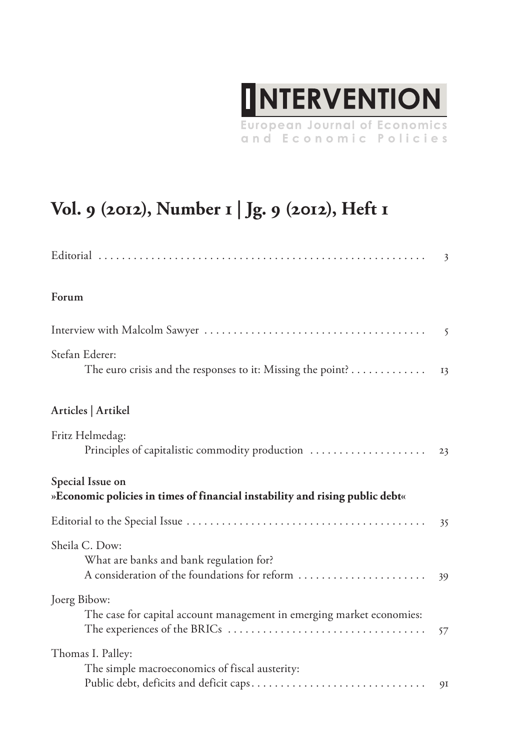

European Journal of Economics and Economic Policies

# **Vol. 9 (2012), Number 1 | Jg. 9 (2012), Heft 1**

|                                                                                                            | 3              |
|------------------------------------------------------------------------------------------------------------|----------------|
| Forum                                                                                                      |                |
|                                                                                                            | $5^{\circ}$    |
| Stefan Ederer:                                                                                             | I <sub>3</sub> |
| Articles   Artikel                                                                                         |                |
| Fritz Helmedag:<br>Principles of capitalistic commodity production                                         | 23             |
| Special Issue on<br>»Economic policies in times of financial instability and rising public debt«           |                |
|                                                                                                            | 35             |
| Sheila C. Dow:<br>What are banks and bank regulation for?<br>A consideration of the foundations for reform | 39             |
| Joerg Bibow:<br>The case for capital account management in emerging market economies:                      | 57             |
| Thomas I. Palley:                                                                                          |                |
| The simple macroeconomics of fiscal austerity:                                                             | 9I             |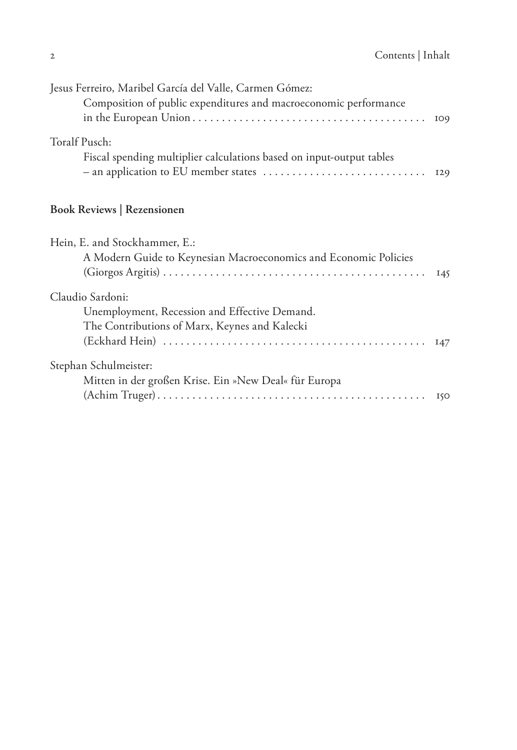| Jesus Ferreiro, Maribel García del Valle, Carmen Gómez:                               |  |
|---------------------------------------------------------------------------------------|--|
| Composition of public expenditures and macroeconomic performance                      |  |
|                                                                                       |  |
| Toralf Pusch:<br>Fiscal spending multiplier calculations based on input-output tables |  |
|                                                                                       |  |

# **Book Reviews | Rezensionen**

| Hein, E. and Stockhammer, E.:                                    |     |
|------------------------------------------------------------------|-----|
| A Modern Guide to Keynesian Macroeconomics and Economic Policies |     |
|                                                                  | I45 |
| Claudio Sardoni:                                                 |     |
| Unemployment, Recession and Effective Demand.                    |     |
| The Contributions of Marx, Keynes and Kalecki                    |     |
|                                                                  |     |
| Stephan Schulmeister:                                            |     |
| Mitten in der großen Krise. Ein »New Deal« für Europa            |     |
|                                                                  |     |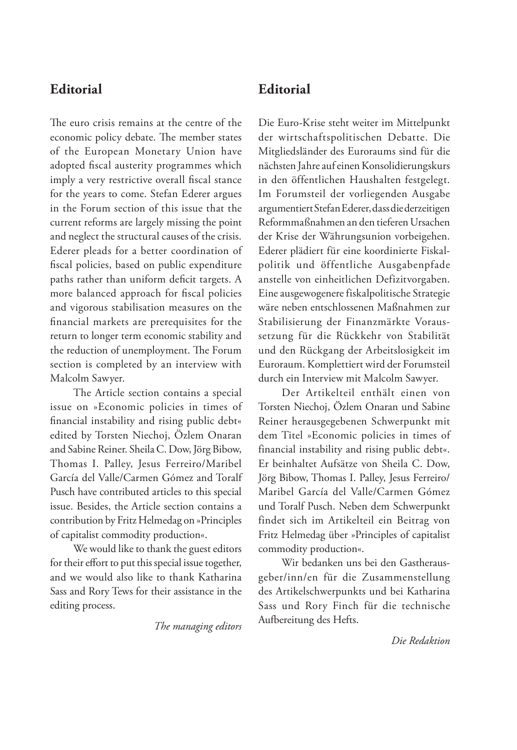## **Editorial**

The euro crisis remains at the centre of the economic policy debate. The member states of the European Monetary Union have adopted fiscal austerity programmes which imply a very restrictive overall fiscal stance for the years to come. Stefan Ederer argues in the Forum section of this issue that the current reforms are largely missing the point and neglect the structural causes of the crisis. Ederer pleads for a better coordination of fiscal policies, based on public expenditure paths rather than uniform deficit targets. A more balanced approach for fiscal policies and vigorous stabilisation measures on the financial markets are prerequisites for the return to longer term economic stability and the reduction of unemployment. The Forum section is completed by an interview with Malcolm Sawyer.

The Article section contains a special issue on »Economic policies in times of financial instability and rising public debt« edited by Torsten Niechoj, Özlem Onaran and Sabine Reiner. Sheila C. Dow, Jörg Bibow, Thomas I. Palley, Jesus Ferreiro/Maribel García del Valle/Carmen Gómez and Toralf Pusch have contributed articles to this special issue. Besides, the Article section contains a contribution by Fritz Helmedag on »Principles of capitalist commodity production«.

We would like to thank the guest editors for their effort to put this special issue together, and we would also like to thank Katharina Sass and Rory Tews for their assistance in the editing process.

## **Editorial**

Die Euro-Krise steht weiter im Mittelpunkt der wirtschaftspolitischen Debatte. Die Mitgliedsländer des Euroraums sind für die nächsten Jahre auf einen Konsolidierungskurs in den öffentlichen Haushalten festgelegt. Im Forumsteil der vorliegenden Ausgabe argumentiertStefanEderer,dassdiederzeitigen Reformmaßnahmen an den tieferen Ursachen der Krise der Währungsunion vorbeigehen. Ederer plädiert für eine koordinierte Fiskalpolitik und öffentliche Ausgabenpfade anstelle von einheitlichen Defizitvorgaben. Eine ausgewogenerefiskalpolitische Strategie wäre neben entschlossenen Maßnahmen zur Stabilisierung der Finanzmärkte Voraussetzung für die Rückkehr von Stabilität und den Rückgang der Arbeitslosigkeit im Euroraum. Komplettiert wird der Forumsteil durch ein Interview mit Malcolm Sawyer.

Der Artikelteil enthält einen von Torsten Niechoj, Özlem Onaran und Sabine Reiner herausgegebenen Schwerpunkt mit dem Titel »Economic policies in times of financial instability and rising public debt«. Er beinhaltet Aufsätze von Sheila C. Dow, Jörg Bibow, Thomas I. Palley, Jesus Ferreiro/ Maribel García del Valle/Carmen Gómez und Toralf Pusch. Neben dem Schwerpunkt findet sich im Artikelteil ein Beitrag von Fritz Helmedag über »Principles of capitalist commodity production«.

Wir bedanken uns bei den Gastherausgeber/inn/en für die Zusammenstellung des Artikelschwerpunkts und bei Katharina Sass und Rory Finch für die technische Aufbereitung des Hefts.

*The managing editors*

*Die Redaktion*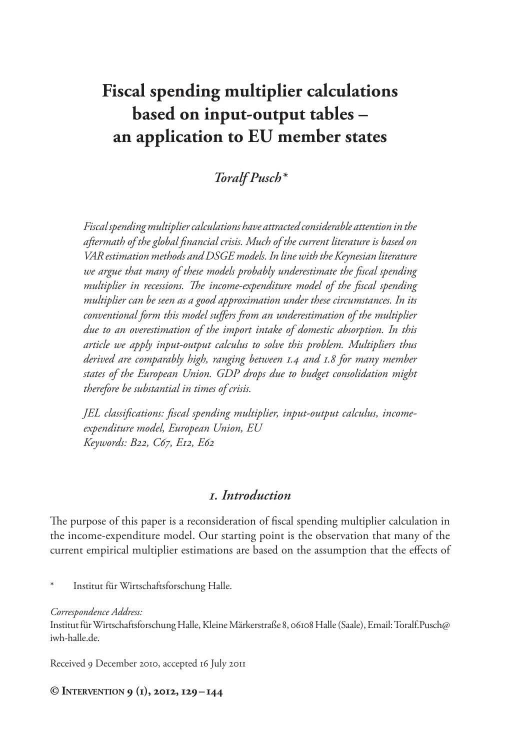# **Fiscal spending multiplier calculations based on input-output tables – an application to EU member states**

# *Toralf Pusch\**

*Fiscal spending multiplier calculations have attracted considerable attention in the aftermath of the global financial crisis. Much of the current literature is based on VAR estimation methods and DSGE models. In line with the Keynesian literature we argue that many of these models probably underestimate the fiscal spending multiplier in recessions. The income-expenditure model of the fiscal spending multiplier can be seen as a good approximation under these circumstances. In its conventional form this model suffers from an underestimation of the multiplier due to an overestimation of the import intake of domestic absorption. In this article we apply input-output calculus to solve this problem. Multipliers thus derived are comparably high, ranging between 1.4 and 1.8 for many member states of the European Union. GDP drops due to budget consolidation might therefore be substantial in times of crisis.*

*JEL classifications: fiscal spending multiplier, input-output calculus, incomeexpenditure model, European Union, EU Keywords: B22, C67, E12, E62*

### *1. Introduction*

The purpose of this paper is a reconsideration of fiscal spending multiplier calculation in the income-expenditure model. Our starting point is the observation that many of the current empirical multiplier estimations are based on the assumption that the effects of

Institut für Wirtschaftsforschung Halle.

#### *Correspondence Address:*

Institut für Wirtschaftsforschung Halle, Kleine Märkerstraße 8, 06108 Halle (Saale), Email: Toralf.Pusch@ iwh-halle.de.

Received 9 December 2010, accepted 16 July 2011

#### **© Intervention 9 (1), 2012, 129–144**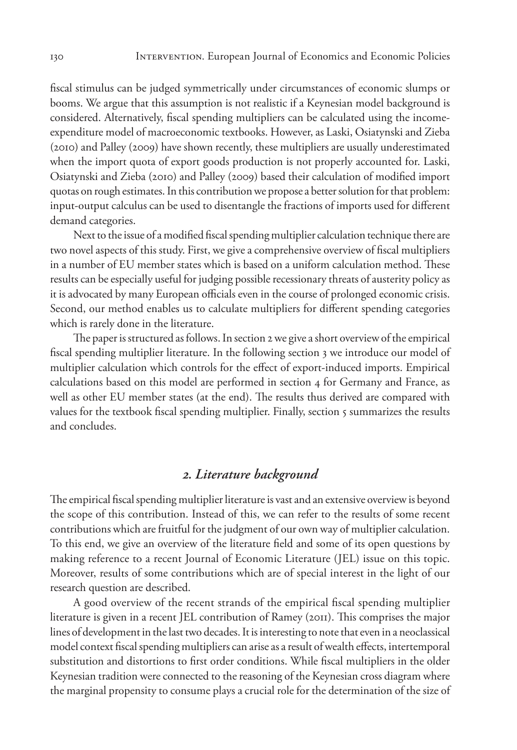fiscal stimulus can be judged symmetrically under circumstances of economic slumps or booms. We argue that this assumption is not realistic if a Keynesian model background is considered. Alternatively, fiscal spending multipliers can be calculated using the incomeexpenditure model of macroeconomic textbooks. However, as Laski, Osiatynski and Zieba (2010) and Palley (2009) have shown recently, these multipliers are usually underestimated when the import quota of export goods production is not properly accounted for. Laski, Osiatynski and Zieba (2010) and Palley (2009) based their calculation of modified import quotas on rough estimates. In this contribution we propose a better solution for that problem: input-output calculus can be used to disentangle the fractions of imports used for different demand categories.

Next to the issue of a modified fiscal spending multiplier calculation technique there are two novel aspects of this study. First, we give a comprehensive overview of fiscal multipliers in a number of EU member states which is based on a uniform calculation method. These results can be especially useful for judging possible recessionary threats of austerity policy as it is advocated by many European officials even in the course of prolonged economic crisis. Second, our method enables us to calculate multipliers for different spending categories which is rarely done in the literature.

The paper is structured as follows. In section 2 we give a short overview of the empirical fiscal spending multiplier literature. In the following section 3 we introduce our model of multiplier calculation which controls for the effect of export-induced imports. Empirical calculations based on this model are performed in section 4 for Germany and France, as well as other EU member states (at the end). The results thus derived are compared with values for the textbook fiscal spending multiplier. Finally, section 5 summarizes the results and concludes.

### *2. Literature background*

The empirical fiscal spending multiplier literature is vast and an extensive overview is beyond the scope of this contribution. Instead of this, we can refer to the results of some recent contributions which are fruitful for the judgment of our own way of multiplier calculation. To this end, we give an overview of the literature field and some of its open questions by making reference to a recent Journal of Economic Literature (JEL) issue on this topic. Moreover, results of some contributions which are of special interest in the light of our research question are described.

A good overview of the recent strands of the empirical fiscal spending multiplier literature is given in a recent JEL contribution of Ramey (2011). This comprises the major lines of development in the last two decades. It is interesting to note that even in a neoclassical model context fiscal spending multipliers can arise as a result of wealth effects, intertemporal substitution and distortions to first order conditions. While fiscal multipliers in the older Keynesian tradition were connected to the reasoning of the Keynesian cross diagram where the marginal propensity to consume plays a crucial role for the determination of the size of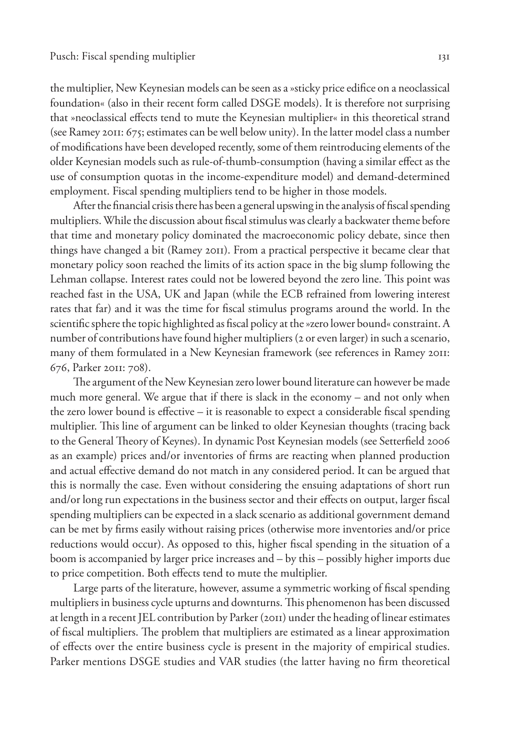the multiplier, New Keynesian models can be seen as a »sticky price edifice on a neoclassical foundation« (also in their recent form called DSGE models). It is therefore not surprising that »neoclassical effects tend to mute the Keynesian multiplier« in this theoretical strand (see Ramey 2011: 675; estimates can be well below unity). In the latter model class a number of modifications have been developed recently, some of them reintroducing elements of the older Keynesian models such as rule-of-thumb-consumption (having a similar effect as the use of consumption quotas in the income-expenditure model) and demand-determined employment. Fiscal spending multipliers tend to be higher in those models.

After the financial crisis there has been a general upswing in the analysis of fiscal spending multipliers. While the discussion about fiscal stimulus was clearly a backwater theme before that time and monetary policy dominated the macroeconomic policy debate, since then things have changed a bit (Ramey 2011). From a practical perspective it became clear that monetary policy soon reached the limits of its action space in the big slump following the Lehman collapse. Interest rates could not be lowered beyond the zero line. This point was reached fast in the USA, UK and Japan (while the ECB refrained from lowering interest rates that far) and it was the time for fiscal stimulus programs around the world. In the scientific sphere the topic highlighted as fiscal policy at the »zero lower bound« constraint. A number of contributions have found higher multipliers (2 or even larger) in such a scenario, many of them formulated in a New Keynesian framework (see references in Ramey 2011: 676, Parker 2011: 708).

The argument of the New Keynesian zero lower bound literature can however be made much more general. We argue that if there is slack in the economy – and not only when the zero lower bound is effective – it is reasonable to expect a considerable fiscal spending multiplier. This line of argument can be linked to older Keynesian thoughts (tracing back to the General Theory of Keynes). In dynamic Post Keynesian models (see Setterfield 2006 as an example) prices and/or inventories of firms are reacting when planned production and actual effective demand do not match in any considered period. It can be argued that this is normally the case. Even without considering the ensuing adaptations of short run and/or long run expectations in the business sector and their effects on output, larger fiscal spending multipliers can be expected in a slack scenario as additional government demand can be met by firms easily without raising prices (otherwise more inventories and/or price reductions would occur). As opposed to this, higher fiscal spending in the situation of a boom is accompanied by larger price increases and – by this – possibly higher imports due to price competition. Both effects tend to mute the multiplier.

Large parts of the literature, however, assume a symmetric working of fiscal spending multipliers in business cycle upturns and downturns. This phenomenon has been discussed at length in a recent JEL contribution by Parker (2011) under the heading of linear estimates of fiscal multipliers. The problem that multipliers are estimated as a linear approximation of effects over the entire business cycle is present in the majority of empirical studies. Parker mentions DSGE studies and VAR studies (the latter having no firm theoretical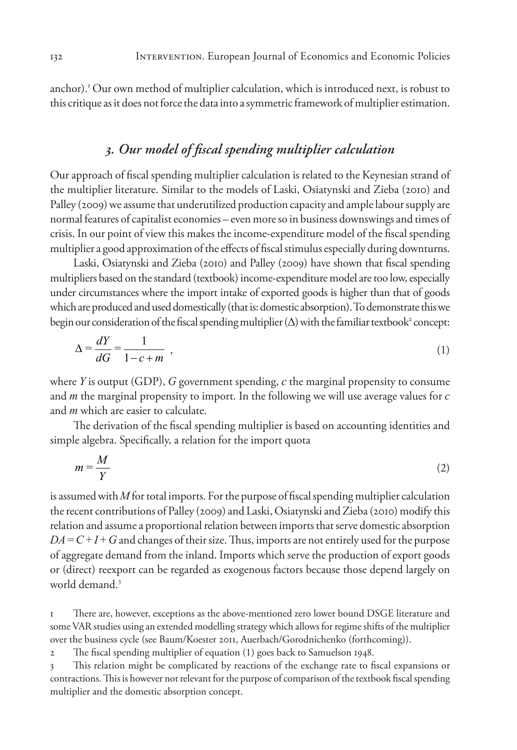anchor).<sup>1</sup> Our own method of multiplier calculation, which is introduced next, is robust to this critique as it does not force the data into a symmetric framework of multiplier estimation.

### *3. Our model of fiscal spending multiplier calculation*

Our approach of fiscal spending multiplier calculation is related to the Keynesian strand of the multiplier literature. Similar to the models of Laski, Osiatynski and Zieba (2010) and Palley (2009) we assume that underutilized production capacity and ample labour supply are normal features of capitalist economies - even more so in business downswings and times of crisis. In our point of view this makes the income-expenditure model of the fiscal spending multiplier a good approximation of the effects of fiscal stimulus especially during downturns.

Laski, Osiatynski and Zieba (2010) and Palley (2009) have shown that fiscal spending multipliers based on the standard (textbook) income-expenditure model are too low, especially under circumstances where the import intake of exported goods is higher than that of goods which are produced and used domestically (that is: domestic absorption). To demonstrate this we begin our consideration of the fiscal spending multiplier  $(\Delta)$  with the familiar textbook<sup>2</sup> concept:

$$
\Delta = \frac{dY}{dG} = \frac{1}{1 - c + m} \tag{1}
$$

where *Y* is output (GDP), *G* government spending, *c* the marginal propensity to consume and *m* the marginal propensity to import. In the following we will use average values for *c* and *m* which are easier to calculate.

The derivation of the fiscal spending multiplier is based on accounting identities and simple algebra. Specifically, a relation for the import quota

$$
m = \frac{M}{Y}
$$
 (2)

is assumed with *M* for total imports. For the purpose of fiscal spending multiplier calculation the recent contributions of Palley (2009) and Laski, Osiatynski and Zieba (2010) modify this relation and assume a proportional relation between imports that serve domestic absorption  $DA = C + I + G$  and changes of their size. Thus, imports are not entirely used for the purpose of aggregate demand from the inland. Imports which serve the production of export goods or (direct) reexport can be regarded as exogenous factors because those depend largely on world demand.<sup>3</sup>

1 There are, however, exceptions as the above-mentioned zero lower bound DSGE literature and some VAR studies using an extended modelling strategy which allows for regime shifts of the multiplier over the business cycle (see Baum/Koester 2011, Auerbach/Gorodnichenko (forthcoming)).

2 The fiscal spending multiplier of equation (1) goes back to Samuelson 1948.

3 This relation might be complicated by reactions of the exchange rate to fiscal expansions or contractions. This is however not relevant for the purpose of comparison of the textbook fiscal spending multiplier and the domestic absorption concept.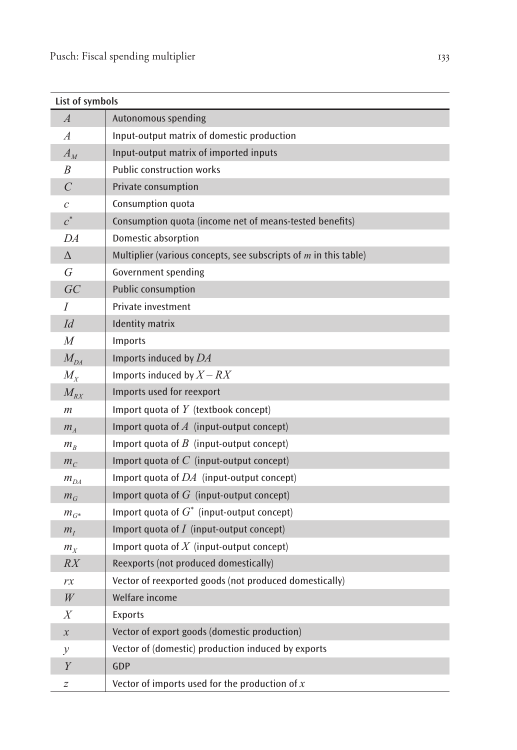| List of symbols            |                                                                    |
|----------------------------|--------------------------------------------------------------------|
| $\overline{A}$             | Autonomous spending                                                |
| A                          | Input-output matrix of domestic production                         |
| $A_M$                      | Input-output matrix of imported inputs                             |
| B                          | <b>Public construction works</b>                                   |
| $\mathcal{C}_{0}^{(n)}$    | <b>Private consumption</b>                                         |
| $\mathcal{C}_{0}$          | Consumption quota                                                  |
| $c^*$                      | Consumption quota (income net of means-tested benefits)            |
| DA                         | Domestic absorption                                                |
| $\Delta$                   | Multiplier (various concepts, see subscripts of $m$ in this table) |
| G                          | Government spending                                                |
| GC                         | <b>Public consumption</b>                                          |
| Ι                          | Private investment                                                 |
| Id                         | <b>Identity matrix</b>                                             |
| $\overline{M}$             | Imports                                                            |
| $M_{DA}$                   | Imports induced by DA                                              |
| $M_{X}$                    | Imports induced by $X - RX$                                        |
| $M_{\mathit{RX}}$          | Imports used for reexport                                          |
| $\boldsymbol{m}$           | Import quota of $Y$ (textbook concept)                             |
| $m_A$                      | Import quota of $A$ (input-output concept)                         |
| $m_{B}$                    | Import quota of $B$ (input-output concept)                         |
| $m_C$                      | Import quota of $C$ (input-output concept)                         |
| $m_{DA}$                   | Import quota of $DA$ (input-output concept)                        |
| $m_G$                      | Import quota of $G$ (input-output concept)                         |
| $m_{G^*}$                  | Import quota of $G^*$ (input-output concept)                       |
| $m_I$                      | Import quota of $I$ (input-output concept)                         |
| $m_X$                      | Import quota of $X$ (input-output concept)                         |
| $\mathbb{R} X$             | Reexports (not produced domestically)                              |
| rx                         | Vector of reexported goods (not produced domestically)             |
| W                          | Welfare income                                                     |
| X                          | Exports                                                            |
| $\boldsymbol{\mathcal{X}}$ | Vector of export goods (domestic production)                       |
| у                          | Vector of (domestic) production induced by exports                 |
| Y                          | <b>GDP</b>                                                         |
| Z                          | Vector of imports used for the production of $x$                   |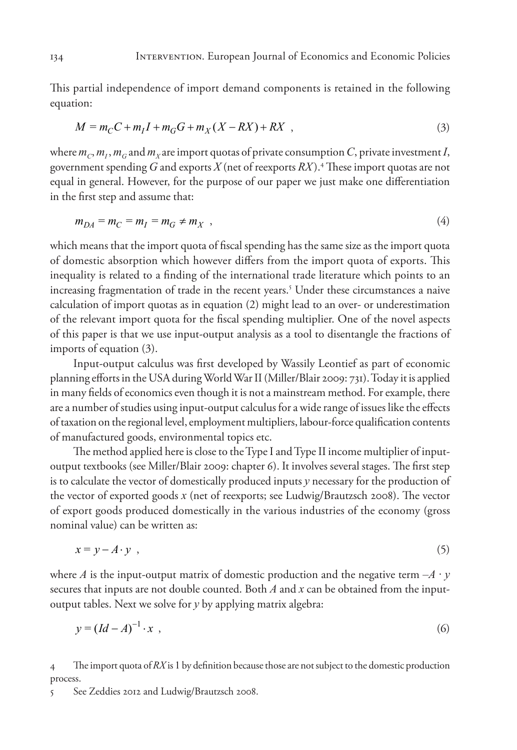This partial independence of import demand components is retained in the following equation:

$$
M = m_C C + m_I I + m_G G + m_X (X - RX) + RX ,
$$
\n(3)

where  $m_c$ ,  $m_l$ ,  $m_c$  and  $m<sub>x</sub>$  are import quotas of private consumption C, private investment I, government spending  $G$  and exports  $X$  (net of reexports  $RX$ ).<sup>4</sup> These import quotas are not equal in general. However, for the purpose of our paper we just make one differentiation in the first step and assume that:

$$
m_{DA} = m_C = m_I = m_G \neq m_X \tag{4}
$$

which means that the import quota of fiscal spending has the same size as the import quota of domestic absorption which however differs from the import quota of exports. This inequality is related to a finding of the international trade literature which points to an increasing fragmentation of trade in the recent years.<sup>5</sup> Under these circumstances a naive calculation of import quotas as in equation (2) might lead to an over- or underestimation of the relevant import quota for the fiscal spending multiplier. One of the novel aspects of this paper is that we use input-output analysis as a tool to disentangle the fractions of imports of equation (3).

Input-output calculus was first developed by Wassily Leontief as part of economic planning efforts in the USA during World War II (Miller/Blair 2009: 731). Today it is applied in many fields of economics even though it is not a mainstream method. For example, there are a number of studies using input-output calculus for a wide range of issues like the effects of taxation on the regional level, employment multipliers, labour-force qualification contents of manufactured goods, environmental topics etc.

The method applied here is close to the Type I and Type II income multiplier of inputoutput textbooks (see Miller/Blair 2009: chapter 6). It involves several stages. The first step is to calculate the vector of domestically produced inputs *y* necessary for the production of the vector of exported goods *x* (net of reexports; see Ludwig/Brautzsch 2008). The vector of export goods produced domestically in the various industries of the economy (gross nominal value) can be written as:

$$
x = y - A \cdot y \tag{5}
$$

where *A* is the input-output matrix of domestic production and the negative term  $-A \cdot y$ secures that inputs are not double counted. Both *A* and *x* can be obtained from the inputoutput tables. Next we solve for *y* by applying matrix algebra:

$$
y = (Id - A)^{-1} \cdot x \tag{6}
$$

4 Theimport quota of*RX*is 1 by definition becausethose are notsubjectto the domestic production process.

5 See Zeddies 2012 and Ludwig/Brautzsch 2008.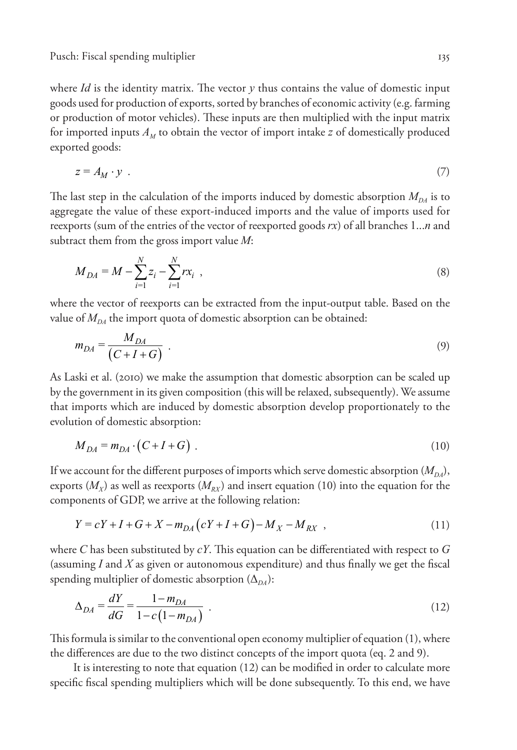where *Id* is the identity matrix. The vector *y* thus contains the value of domestic input goods used for production of exports, sorted by branches of economic activity (e.g. farming or production of motor vehicles). These inputs are then multiplied with the input matrix for imported inputs  $A_M$  to obtain the vector of import intake  $z$  of domestically produced exported goods:

$$
z = A_M \cdot y \tag{7}
$$

The last step in the calculation of the imports induced by domestic absorption  $M_{DA}$  is to aggregate the value of these export-induced imports and the value of imports used for reexports (sum of the entries of the vector of reexported goods *rx*) of all branches 1...*n* and subtract them from the gross import value *M*:

$$
M_{DA} = M - \sum_{i=1}^{N} z_i - \sum_{i=1}^{N} rx_i,
$$
\n(8)

where the vector of reexports can be extracted from the input-output table. Based on the value of  $M_{DA}$  the import quota of domestic absorption can be obtained:

$$
m_{DA} = \frac{M_{DA}}{(C+I+G)}\tag{9}
$$

As Laski et al. (2010) we make the assumption that domestic absorption can be scaled up by the government in its given composition (this will berelaxed, subsequently). We assume that imports which are induced by domestic absorption develop proportionately to the evolution of domestic absorption:

$$
M_{DA} = m_{DA} \cdot (C + I + G) \tag{10}
$$

If we account for the different purposes of imports which serve domestic absorption  $(M_{DA})$ , exports ( $M_X$ ) as well as reexports ( $M_{RX}$ ) and insert equation (10) into the equation for the components of GDP, we arrive at the following relation:

$$
Y = cY + I + G + X - m_{DA}(cY + I + G) - M_X - M_{RX} \t\t(11)
$$

where *C* has been substituted by *cY*. This equation can be differentiated with respect to *G* (assuming *I* and *X* as given or autonomous expenditure) and thus finally we get the fiscal spending multiplier of domestic absorption  $(\Delta_{DA})$ :

$$
\Delta_{DA} = \frac{dY}{dG} = \frac{1 - m_{DA}}{1 - c(1 - m_{DA})} \tag{12}
$$

This formula is similar to the conventional open economy multiplier of equation (1), where the differences are due to the two distinct concepts of the import quota (eq. 2 and 9).

It is interesting to note that equation (12) can be modified in order to calculate more specific fiscal spending multipliers which will be done subsequently. To this end, we have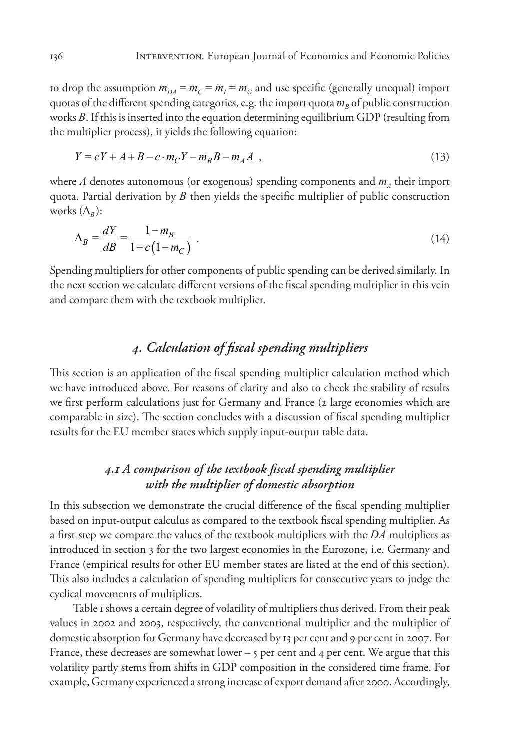to drop the assumption  $m_{DA} = m_C = m_I = m_G$  and use specific (generally unequal) import quotas of the different spending categories, e.g. the import quota  $m<sub>B</sub>$  of public construction works *B*. If this is inserted into the equation determining equilibrium GDP (resulting from the multiplier process), it yields the following equation:

$$
Y = cY + A + B - c \cdot m_C Y - m_B B - m_A A \tag{13}
$$

where  $A$  denotes autonomous (or exogenous) spending components and  $m_A$  their import quota. Partial derivation by *B* then yields the specific multiplier of public construction works  $(\Delta_R)$ :

$$
\Delta_B = \frac{dY}{dB} = \frac{1 - m_B}{1 - c(1 - m_C)} \tag{14}
$$

Spending multipliers for other components of public spending can be derived similarly. In the next section we calculate different versions of the fiscal spending multiplier in this vein and compare them with the textbook multiplier.

## *4. Calculation of fiscal spending multipliers*

This section is an application of the fiscal spending multiplier calculation method which we have introduced above. For reasons of clarity and also to check the stability of results we first perform calculations just for Germany and France (2 large economies which are comparable in size). The section concludes with a discussion of fiscal spending multiplier results for the EU member states which supply input-output table data.

### *4.1 A comparison of the textbook fiscal spending multiplier with the multiplier of domestic absorption*

In this subsection we demonstrate the crucial difference of the fiscal spending multiplier based on input-output calculus as compared to the textbook fiscal spending multiplier. As a first step we compare the values of the textbook multipliers with the *DA* multipliers as introduced in section 3 for the two largest economies in the Eurozone, i.e. Germany and France (empirical results for other EU member states are listed at the end of this section). This also includes a calculation of spending multipliers for consecutive years to judge the cyclical movements of multipliers.

Table 1 shows a certain degree of volatility of multipliers thus derived. From their peak values in 2002 and 2003, respectively, the conventional multiplier and the multiplier of domestic absorption for Germany have decreased by 13 per cent and 9 per cent in 2007. For France, these decreases are somewhat lower  $-$  5 per cent and 4 per cent. We argue that this volatility partly stems from shifts in GDP composition in the considered time frame. For example, Germany experienced a strong increase of export demand after 2000. Accordingly,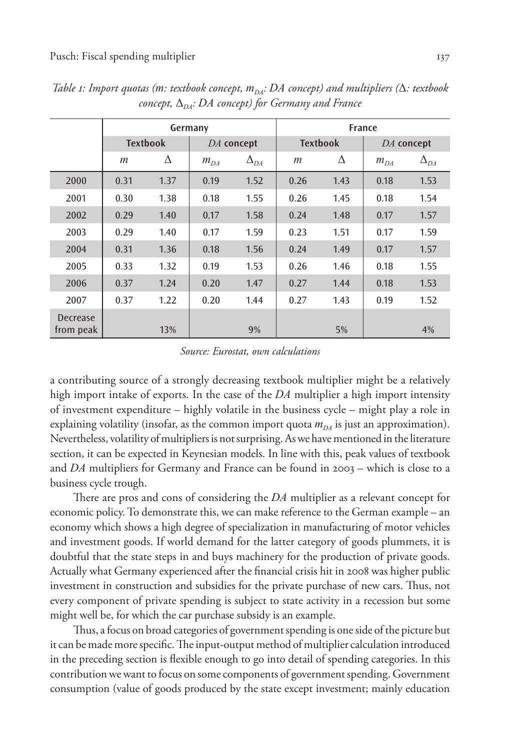|                       |                 |      | Germany    |               | France          |      |            |               |
|-----------------------|-----------------|------|------------|---------------|-----------------|------|------------|---------------|
|                       | <b>Textbook</b> |      | DA concept |               | <b>Textbook</b> |      | DA concept |               |
|                       | m               | Δ    | $m_{DA}$   | $\Delta_{DA}$ | m               | Δ    | $m_{DA}$   | $\Delta_{DA}$ |
| 2000                  | 0.31            | 1.37 | 0.19       | 1.52          | 0.26            | 1.43 | 0.18       | 1.53          |
| 2001                  | 0.30            | 1.38 | 0.18       | 1.55          | 0.26            | 1.45 | 0.18       | 1.54          |
| 2002                  | 0.29            | 1.40 | 0.17       | 1.58          | 0.24            | 1.48 | 0.17       | 1.57          |
| 2003                  | 0.29            | 1.40 | 0.17       | 1.59          | 0.23            | 1.51 | 0.17       | 1.59          |
| 2004                  | 0.31            | 1.36 | 0.18       | 1.56          | 0.24            | 1.49 | 0.17       | 1.57          |
| 2005                  | 0.33            | 1.32 | 0.19       | 1.53          | 0.26            | 1.46 | 0.18       | 1.55          |
| 2006                  | 0.37            | 1.24 | 0.20       | 1.47          | 0.27            | 1.44 | 0.18       | 1.53          |
| 2007                  | 0.37            | 1.22 | 0.20       | 1.44          | 0.27            | 1.43 | 0.19       | 1.52          |
| Decrease<br>from peak |                 | 13%  |            | 9%            |                 | 5%   |            | 4%            |

*Table 1: Import quotas (m: textbook concept, m<sub>DA</sub>: DA concept) and multipliers (Δ: textbook concept,* Δ*DA: DA concept) for Germany and France*

*Source: Eurostat, own calculations*

a contributing source of a strongly decreasing textbook multiplier might be a relatively high import intake of exports. In the case of the *DA* multiplier a high import intensity of investment expenditure – highly volatile in the business cycle – might play a role in explaining volatility (insofar, as the common import quota  $m_{D4}$  is just an approximation). Nevertheless, volatility of multipliers is not surprising. As we have mentioned in the literature section, it can be expected in Keynesian models. In line with this, peak values of textbook and *DA* multipliers for Germany and France can be found in 2003 – which is close to a business cycle trough.

There are pros and cons of considering the *DA* multiplier as a relevant concept for economic policy.To demonstrate this, we can make reference to the German example – an economy which shows a high degree of specialization in manufacturing of motor vehicles and investment goods. If world demand for the latter category of goods plummets, it is doubtful that the state steps in and buys machinery for the production of private goods. Actually what Germany experienced after the financial crisis hit in 2008 was higher public investment in construction and subsidies for the private purchase of new cars. Thus, not every component of private spending is subject to state activity in a recession but some might well be, for which the car purchase subsidy is an example.

Thus, a focus on broad categories of government spending is one side of the picture but it can be made more specific. The input-output method of multiplier calculation introduced in the preceding section is flexible enough to go into detail of spending categories. In this contribution we want to focus on some components of government spending. Government consumption (value of goods produced by the state except investment; mainly education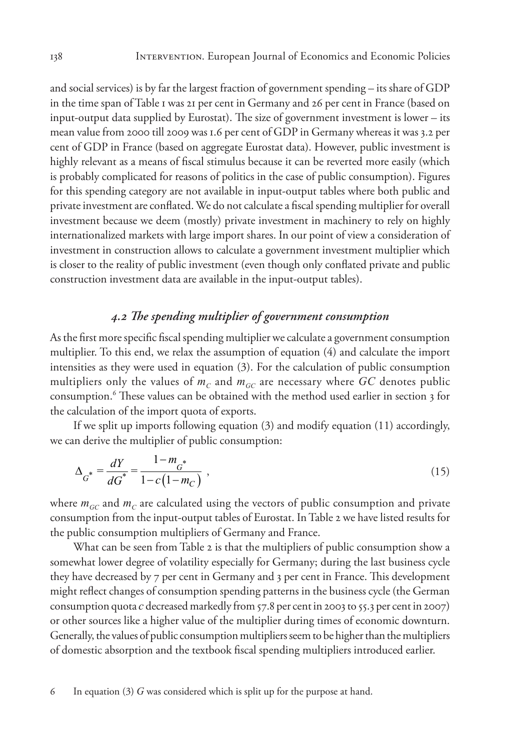and social services) is by far the largest fraction of government spending  $-$  its share of GDP in the time span ofTable 1 was 21 per cent in Germany and 26 per cent in France (based on input-output data supplied by Eurostat). The size of government investment is lower – its mean value from 2000 till 2009 was 1.6 per cent of GDP in Germany whereas it was 3.2 per cent of GDP in France (based on aggregate Eurostat data). However, public investment is highly relevant as a means of fiscal stimulus because it can be reverted more easily (which is probably complicated for reasons of politics in the case of public consumption). Figures for this spending category are not available in input-output tables where both public and private investment are conflated. We do not calculate a fiscal spending multiplier for overall investment because we deem (mostly) private investment in machinery to rely on highly internationalized markets with large import shares. In our point of view a consideration of investment in construction allows to calculate a government investment multiplier which is closer to the reality of public investment (even though only conflated private and public construction investment data are available in the input-output tables).

#### *4.2 The spending multiplier of government consumption*

As the first more specific fiscal spending multiplier we calculate a government consumption multiplier. To this end, we relax the assumption of equation (4) and calculate the import intensities as they were used in equation (3). For the calculation of public consumption multipliers only the values of  $m<sub>C</sub>$  and  $m<sub>GC</sub>$  are necessary where *GC* denotes public consumption.<sup>6</sup> These values can be obtained with the method used earlier in section 3 for the calculation of the import quota of exports.

If we split up imports following equation (3) and modify equation (11) accordingly, we can derive the multiplier of public consumption:

$$
\Delta_{G^*} = \frac{dY}{dG^*} = \frac{1 - m_{G^*}}{1 - c(1 - m_C)},
$$
\n(15)

where  $m_{GC}$  and  $m_{C}$  are calculated using the vectors of public consumption and private consumption from the input-output tables of Eurostat. In Table 2 we have listed results for the public consumption multipliers of Germany and France.

What can be seen from Table 2 is that the multipliers of public consumption show a somewhat lower degree of volatility especially for Germany; during the last business cycle they have decreased by 7 per cent in Germany and 3 per cent in France. This development might reflect changes of consumption spending patterns in the business cycle(the German consumption quota *c* decreased markedly from 57.8 per cent in 2003 to 55.3 per cent in 2007) or other sources like a higher value of the multiplier during times of economic downturn. Generally, the values of public consumption multipliers seem to be higher than the multipliers of domestic absorption and the textbook fiscal spending multipliers introduced earlier.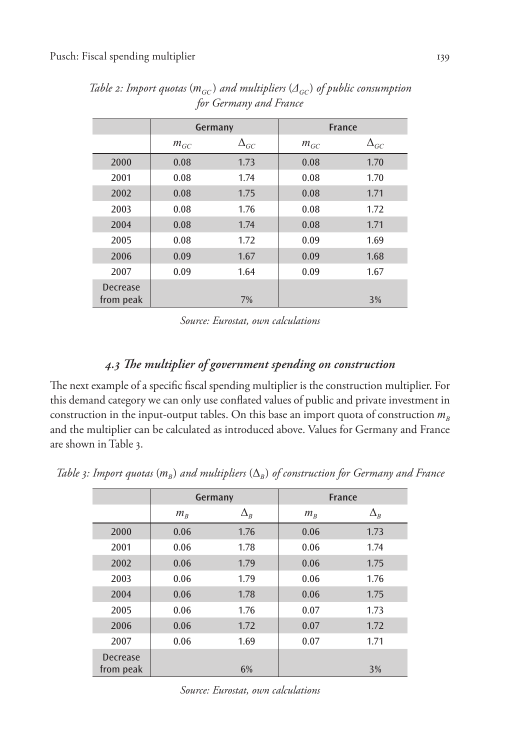|           |          | Germany       |          | France        |
|-----------|----------|---------------|----------|---------------|
|           | $m_{GC}$ | $\Delta_{GC}$ | $m_{GC}$ | $\Delta_{GC}$ |
| 2000      | 0.08     | 1.73          | 0.08     | 1.70          |
| 2001      | 0.08     | 1.74          | 0.08     | 1.70          |
| 2002      | 0.08     | 1.75          | 0.08     | 1.71          |
| 2003      | 0.08     | 1.76          | 0.08     | 1.72          |
| 2004      | 0.08     | 1.74          | 0.08     | 1.71          |
| 2005      | 0.08     | 1.72          | 0.09     | 1.69          |
| 2006      | 0.09     | 1.67          | 0.09     | 1.68          |
| 2007      | 0.09     | 1.64          | 0.09     | 1.67          |
| Decrease  |          |               |          |               |
| from peak |          | 7%            |          | 3%            |

*Table 2: Import quotas* ( $m_{GC}$ ) and multipliers ( $\Delta_{GC}$ ) of public consumption *for Germany and France*

*Source: Eurostat, own calculations* 

#### *4.3 The multiplier of government spending on construction*

The next example of a specific fiscal spending multiplier is the construction multiplier. For this demand category we can only use conflated values of public and private investment in construction in the input-output tables. On this base an import quota of construction  $m_B$ and the multiplier can be calculated as introduced above. Values for Germany and France are shown in Table 3.

|                       |         | Germany       | <b>France</b> |              |  |  |
|-----------------------|---------|---------------|---------------|--------------|--|--|
|                       | $m_{B}$ | $\Delta_{_B}$ | $m_{R}$       | $\Delta_{B}$ |  |  |
| 2000                  | 0.06    | 1.76          | 0.06          | 1.73         |  |  |
| 2001                  | 0.06    | 1.78          | 0.06          | 1.74         |  |  |
| 2002                  | 0.06    | 1.79          | 0.06          | 1.75         |  |  |
| 2003                  | 0.06    | 1.79          | 0.06          | 1.76         |  |  |
| 2004                  | 0.06    | 1.78          | 0.06          | 1.75         |  |  |
| 2005                  | 0.06    | 1.76          | 0.07          | 1.73         |  |  |
| 2006                  | 0.06    | 1.72          | 0.07          | 1.72         |  |  |
| 2007                  | 0.06    | 1.69          | 0.07          | 1.71         |  |  |
| Decrease<br>from peak |         | 6%            |               | 3%           |  |  |

*Table 3: Import quotas*  $(m_B)$  *and multipliers*  $(\Delta_B)$  *of construction for Germany and France* 

*Source: Eurostat, own calculations*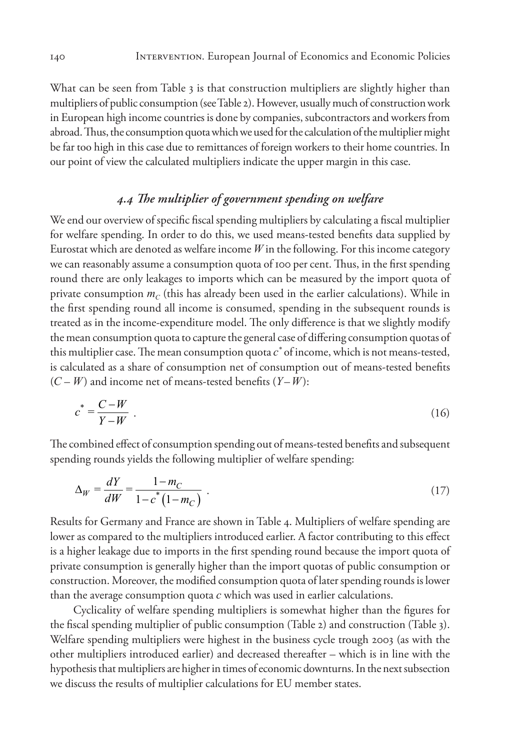What can be seen from Table 3 is that construction multipliers are slightly higher than multipliers of public consumption (see Table 2). However, usually much of construction work in European high income countries is done by companies, subcontractors and workers from abroad. Thus, the consumption quota which we used for the calculation of the multiplier might be far too high in this case due to remittances of foreign workers to their home countries. In our point of view the calculated multipliers indicate the upper margin in this case.

#### *4.4 The multiplier of government spending on welfare*

We end our overview of specific fiscal spending multipliers by calculating a fiscal multiplier for welfare spending. In order to do this, we used means-tested benefits data supplied by Eurostat which are denoted as welfare income  $W$  in the following. For this income category we can reasonably assume a consumption quota of 100 per cent. Thus, in the first spending round there are only leakages to imports which can be measured by the import quota of private consumption  $m<sub>C</sub>$  (this has already been used in the earlier calculations). While in the first spending round all income is consumed, spending in the subsequent rounds is treated as in the income-expenditure model. The only difference is that we slightly modify the mean consumption quota to capture the general case of differing consumption quotas of this multiplier case. The mean consumption quota  $c^*$  of income, which is not means-tested, is calculated as a share of consumption net of consumption out of means-tested benefits  $(C - W)$  and income net of means-tested benefits  $(Y - W)$ :

$$
c^* = \frac{C - W}{Y - W} \tag{16}
$$

The combined effect of consumption spending out of means-tested benefits and subsequent spending rounds yields the following multiplier of welfare spending:

$$
\Delta_W = \frac{dY}{dW} = \frac{1 - m_C}{1 - c^* (1 - m_C)} \tag{17}
$$

Results for Germany and France are shown in Table 4. Multipliers of welfare spending are lower as compared to the multipliers introduced earlier. A factor contributing to this effect is a higher leakage due to imports in the first spending round because the import quota of private consumption is generally higher than the import quotas of public consumption or construction. Moreover, the modified consumption quota of later spending rounds is lower than the average consumption quota *c* which was used in earlier calculations.

Cyclicality of welfare spending multipliers is somewhat higher than the figures for the fiscal spending multiplier of public consumption (Table 2) and construction (Table 3). Welfare spending multipliers were highest in the business cycle trough 2003 (as with the other multipliers introduced earlier) and decreased thereafter – which is in line with the hypothesis that multipliers are higher in times of economic downturns. In the next subsection we discuss the results of multiplier calculations for EU member states.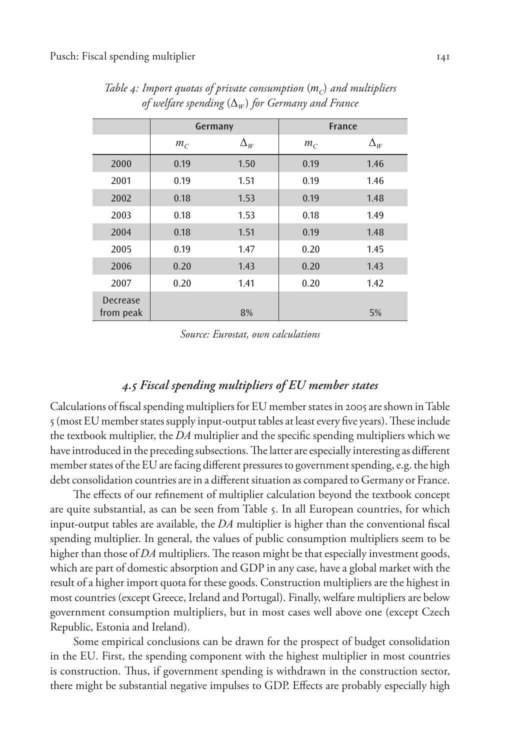|                       |                 | Germany       |       | France     |
|-----------------------|-----------------|---------------|-------|------------|
|                       | $m_{\tilde{C}}$ | $\Delta_{_W}$ | $m_C$ | $\Delta_W$ |
| 2000                  | 0.19            | 1.50          | 0.19  | 1.46       |
| 2001                  | 0.19            | 1.51          | 0.19  | 1.46       |
| 2002                  | 0.18            | 1.53          | 0.19  | 1.48       |
| 2003                  | 0.18            | 1.53          | 0.18  | 1.49       |
| 2004                  | 0.18            | 1.51          | 0.19  | 1.48       |
| 2005                  | 0.19            | 1.47          | 0.20  | 1.45       |
| 2006                  | 0.20            | 1.43          | 0.20  | 1.43       |
| 2007                  | 0.20            | 1.41          | 0.20  | 1.42       |
| Decrease<br>from peak |                 | 8%            |       | 5%         |

*Table 4: Import quotas of private consumption* (*m<sub>c</sub>*) and multipliers *of welfare spending* (Δ*<sup>W</sup>* ) *for Germany and France* 

*Source: Eurostat, own calculations*

#### *4.5 Fiscal spending multipliers of EU member states*

Calculations of fiscal spending multipliers for EU memberstates in 2005 areshown inTable 5(most EUmemberstatessupply input-output tables atleastevery five years).Theseinclude the textbook multiplier, the *DA* multiplier and the specific spending multipliers which we have introduced in the preceding subsections. The latter are especially interesting as different member states of the EU are facing different pressures to government spending, e.g. the high debt consolidation countries are in a different situation as compared to Germany or France.

The effects of our refinement of multiplier calculation beyond the textbook concept are quite substantial, as can be seen from Table 5. In all European countries, for which input-output tables are available, the *DA* multiplier is higher than the conventional fiscal spending multiplier. In general, the values of public consumption multipliers seem to be higher than those of *DA* multipliers. The reason might be that especially investment goods, which are part of domestic absorption and GDP in any case, have a global market with the result of a higher import quota for these goods. Construction multipliers are the highest in most countries (except Greece, Ireland and Portugal). Finally, welfare multipliers are below government consumption multipliers, but in most cases well above one (except Czech Republic, Estonia and Ireland).

Some empirical conclusions can be drawn for the prospect of budget consolidation in the EU. First, the spending component with the highest multiplier in most countries is construction. Thus, if government spending is withdrawn in the construction sector, there might be substantial negative impulses to GDP. Effects are probably especially high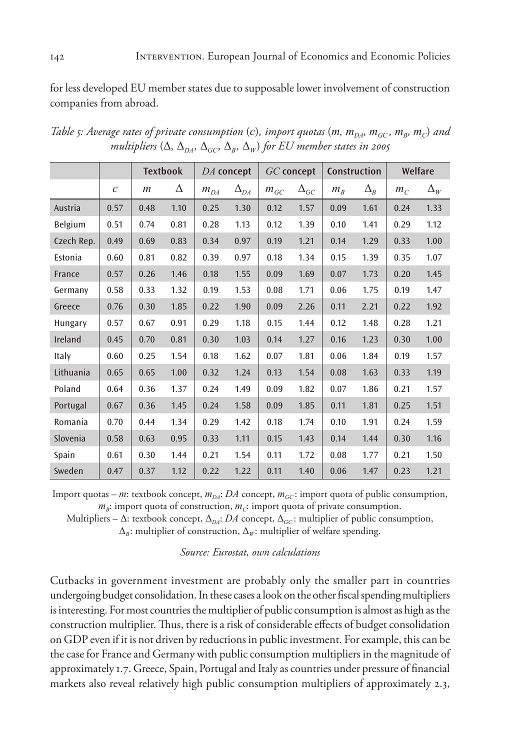for less developed EU member states due to supposable lower involvement of construction companies from abroad.

|            |                   |                | <b>Textbook</b> | DA concept |               | GC concept                  |               | Construction |            | Welfare |            |
|------------|-------------------|----------------|-----------------|------------|---------------|-----------------------------|---------------|--------------|------------|---------|------------|
|            | $\mathcal{C}_{0}$ | $\mathfrak{m}$ | Δ               | $m_{DA}$   | $\Delta_{DA}$ | $m_{\scriptscriptstyle GC}$ | $\Delta_{GC}$ | $m_{B}$      | $\Delta_B$ | $m_C$   | $\Delta_W$ |
| Austria    | 0.57              | 0.48           | 1.10            | 0.25       | 1.30          | 0.12                        | 1.57          | 0.09         | 1.61       | 0.24    | 1.33       |
| Belgium    | 0.51              | 0.74           | 0.81            | 0.28       | 1.13          | 0.12                        | 1.39          | 0.10         | 1.41       | 0.29    | 1.12       |
| Czech Rep. | 0.49              | 0.69           | 0.83            | 0.34       | 0.97          | 0.19                        | 1.21          | 0.14         | 1.29       | 0.33    | 1.00       |
| Estonia    | 0.60              | 0.81           | 0.82            | 0.39       | 0.97          | 0.18                        | 1.34          | 0.15         | 1.39       | 0.35    | 1.07       |
| France     | 0.57              | 0.26           | 1.46            | 0.18       | 1.55          | 0.09                        | 1.69          | 0.07         | 1.73       | 0.20    | 1.45       |
| Germany    | 0.58              | 0.33           | 1.32            | 0.19       | 1.53          | 0.08                        | 1.71          | 0.06         | 1.75       | 0.19    | 1.47       |
| Greece     | 0.76              | 0.30           | 1.85            | 0.22       | 1.90          | 0.09                        | 2.26          | 0.11         | 2.21       | 0.22    | 1.92       |
| Hungary    | 0.57              | 0.67           | 0.91            | 0.29       | 1.18          | 0.15                        | 1.44          | 0.12         | 1.48       | 0.28    | 1.21       |
| Ireland    | 0.45              | 0.70           | 0.81            | 0.30       | 1.03          | 0.14                        | 1.27          | 0.16         | 1.23       | 0.30    | 1.00       |
| Italy      | 0.60              | 0.25           | 1.54            | 0.18       | 1.62          | 0.07                        | 1.81          | 0.06         | 1.84       | 0.19    | 1.57       |
| Lithuania  | 0.65              | 0.65           | 1.00            | 0.32       | 1.24          | 0.13                        | 1.54          | 0.08         | 1.63       | 0.33    | 1.19       |
| Poland     | 0.64              | 0.36           | 1.37            | 0.24       | 1.49          | 0.09                        | 1.82          | 0.07         | 1.86       | 0.21    | 1.57       |
| Portugal   | 0.67              | 0.36           | 1.45            | 0.24       | 1.58          | 0.09                        | 1.85          | 0.11         | 1.81       | 0.25    | 1.51       |
| Romania    | 0.70              | 0.44           | 1.34            | 0.29       | 1.42          | 0.18                        | 1.74          | 0.10         | 1.91       | 0.24    | 1.59       |
| Slovenia   | 0.58              | 0.63           | 0.95            | 0.33       | 1.11          | 0.15                        | 1.43          | 0.14         | 1.44       | 0.30    | 1.16       |
| Spain      | 0.61              | 0.30           | 1.44            | 0.21       | 1.54          | 0.11                        | 1.72          | 0.08         | 1.77       | 0.21    | 1.50       |
| Sweden     | 0.47              | 0.37           | 1.12            | 0.22       | 1.22          | 0.11                        | 1.40          | 0.06         | 1.47       | 0.23    | 1.21       |

*Table 5: Average rates of private consumption (c), import quotas (m,*  $m_{DA}$ *,*  $m_{GC}$ *,*  $m_B$ *,*  $m_C$ *) and multipliers* ( $\Delta$ *,*  $\Delta_{DA}$ *,*  $\Delta_{GC}$ *,*  $\Delta_B$ *,*  $\Delta_W$ *) for EU member states in 2005* 

Import quotas – *m*: textbook concept,  $m_{D_A}: DA$  concept,  $m_{GC}:$  import quota of public consumption,  $m_B$ : import quota of construction,  $m_C$ : import quota of private consumption.

Multipliers –  $\Delta$ : textbook concept,  $\Delta_{\alpha}$ : *DA* concept,  $\Delta_{\alpha}$ : multiplier of public consumption,  $\Delta_{\mathcal{B}}$ : multiplier of construction,  $\Delta_{\mathcal{W}}$ : multiplier of welfare spending.

*Source: Eurostat, own calculations*

Cutbacks in government investment are probably only the smaller part in countries undergoing budget consolidation. In these cases a look on the other fiscal spending multipliers is interesting. For most countries the multiplier of public consumption is almost as high as the construction multiplier. Thus, there is a risk of considerable effects of budget consolidation on GDP even if it is not driven by reductions in public investment. Forexample, this can be the case for France and Germany with public consumption multipliers in the magnitude of approximately 1.7. Greece, Spain, Portugal and Italy as countries under pressure of financial markets also reveal relatively high public consumption multipliers of approximately 2.3,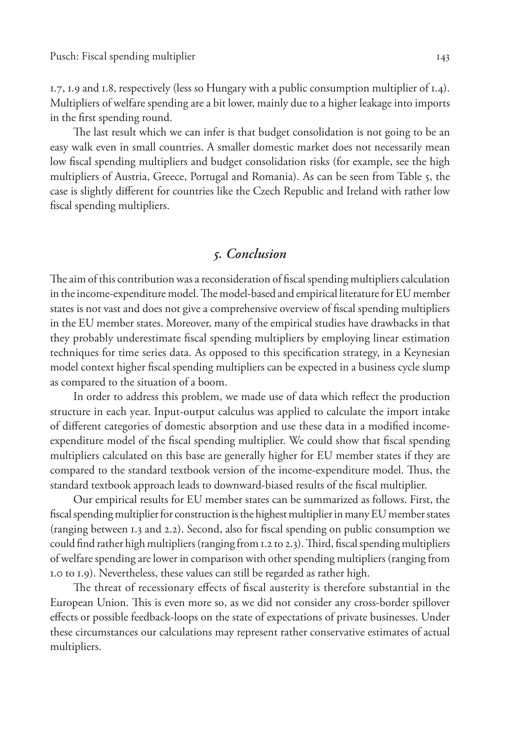1.7, 1.9 and 1.8, respectively (less so Hungary with a public consumption multiplier of 1.4). Multipliers of welfare spending are a bit lower, mainly due to a higher leakage into imports in the first spending round.

The last result which we can infer is that budget consolidation is not going to be an easy walk even in small countries. A smaller domestic market does not necessarily mean low fiscal spending multipliers and budget consolidation risks (for example, see the high multipliers of Austria, Greece, Portugal and Romania). As can be seen from Table 5, the case is slightly different for countries like the Czech Republic and Ireland with rather low fiscal spending multipliers.

#### *5. Conclusion*

The aim of this contribution was a reconsideration of fiscal spending multipliers calculation in the income-expenditure model. The model-based and empirical literature for EU member states is not vast and does not give a comprehensive overview of fiscal spending multipliers in the EU member states. Moreover, many of the empirical studies have drawbacks in that they probably underestimate fiscal spending multipliers by employing linear estimation techniques for time series data. As opposed to this specification strategy, in a Keynesian model context higher fiscal spending multipliers can be expected in a business cycle slump as compared to the situation of a boom.

In order to address this problem, we made use of data which reflect the production structure in each year. Input-output calculus was applied to calculate the import intake of different categories of domestic absorption and use these data in a modified incomeexpenditure model of the fiscal spending multiplier. We could show that fiscal spending multipliers calculated on this base are generally higher for EU member states if they are compared to the standard textbook version of the income-expenditure model. Thus, the standard textbook approach leads to downward-biased results of the fiscal multiplier.

Our empirical results for EU member states can be summarized as follows. First, the fiscal spending multiplier for construction is the highest multiplier in many EU member states (ranging between 1.3 and 2.2). Second, also for fiscal spending on public consumption we could find rather high multipliers (ranging from  $1.2$  to  $2.3$ ). Third, fiscal spending multipliers of welfarespending arelower in comparison with other spending multipliers (ranging from 1.0 to 1.9). Nevertheless, these values can still be regarded as rather high.

The threat of recessionary effects of fiscal austerity is therefore substantial in the European Union. This is even more so, as we did not consider any cross-border spillover effects or possible feedback-loops on the state of expectations of private businesses. Under these circumstances our calculations may represent rather conservative estimates of actual multipliers.